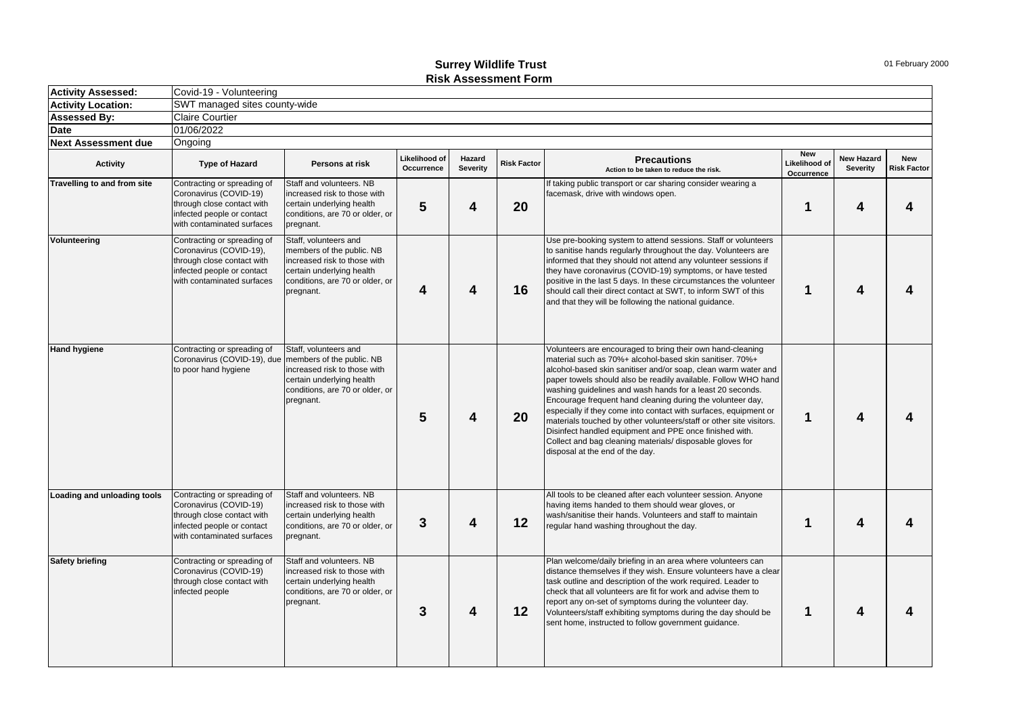## **Surrey Wildlife Trust Risk Assessment Form**

| <b>Activity Assessed:</b>   | Covid-19 - Volunteering                                                                                                                          |                                                                                                                                                                 |                             |                    |                    |                                                                                                                                                                                                                                                                                                                                                                                                                                                                                                                                                                                                                                                                                             |                                           |                                      |                                  |
|-----------------------------|--------------------------------------------------------------------------------------------------------------------------------------------------|-----------------------------------------------------------------------------------------------------------------------------------------------------------------|-----------------------------|--------------------|--------------------|---------------------------------------------------------------------------------------------------------------------------------------------------------------------------------------------------------------------------------------------------------------------------------------------------------------------------------------------------------------------------------------------------------------------------------------------------------------------------------------------------------------------------------------------------------------------------------------------------------------------------------------------------------------------------------------------|-------------------------------------------|--------------------------------------|----------------------------------|
| <b>Activity Location:</b>   | SWT managed sites county-wide                                                                                                                    |                                                                                                                                                                 |                             |                    |                    |                                                                                                                                                                                                                                                                                                                                                                                                                                                                                                                                                                                                                                                                                             |                                           |                                      |                                  |
| <b>Assessed By:</b>         | <b>Claire Courtier</b>                                                                                                                           |                                                                                                                                                                 |                             |                    |                    |                                                                                                                                                                                                                                                                                                                                                                                                                                                                                                                                                                                                                                                                                             |                                           |                                      |                                  |
| <b>Date</b>                 | 01/06/2022                                                                                                                                       |                                                                                                                                                                 |                             |                    |                    |                                                                                                                                                                                                                                                                                                                                                                                                                                                                                                                                                                                                                                                                                             |                                           |                                      |                                  |
| <b>Next Assessment due</b>  | Ongoing                                                                                                                                          |                                                                                                                                                                 |                             |                    |                    |                                                                                                                                                                                                                                                                                                                                                                                                                                                                                                                                                                                                                                                                                             |                                           |                                      |                                  |
| <b>Activity</b>             | <b>Type of Hazard</b>                                                                                                                            | Persons at risk                                                                                                                                                 | Likelihood of<br>Occurrence | Hazard<br>Severity | <b>Risk Factor</b> | <b>Precautions</b><br>Action to be taken to reduce the risk.                                                                                                                                                                                                                                                                                                                                                                                                                                                                                                                                                                                                                                | <b>New</b><br>Likelihood of<br>Occurrence | <b>New Hazard</b><br><b>Severity</b> | <b>New</b><br><b>Risk Factor</b> |
| Travelling to and from site | Contracting or spreading of<br>Coronavirus (COVID-19)<br>through close contact with<br>infected people or contact<br>with contaminated surfaces  | Staff and volunteers. NB<br>increased risk to those with<br>certain underlying health<br>conditions, are 70 or older, or<br>pregnant.                           | 5                           | 4                  | 20                 | If taking public transport or car sharing consider wearing a<br>facemask, drive with windows open.                                                                                                                                                                                                                                                                                                                                                                                                                                                                                                                                                                                          | 1                                         | 4                                    | 4                                |
| Volunteering                | Contracting or spreading of<br>Coronavirus (COVID-19),<br>through close contact with<br>infected people or contact<br>with contaminated surfaces | Staff, volunteers and<br>members of the public. NB<br>increased risk to those with<br>certain underlying health<br>conditions, are 70 or older, or<br>pregnant. | 4                           | 4                  | 16                 | Use pre-booking system to attend sessions. Staff or volunteers<br>to sanitise hands regularly throughout the day. Volunteers are<br>informed that they should not attend any volunteer sessions if<br>they have coronavirus (COVID-19) symptoms, or have tested<br>positive in the last 5 days. In these circumstances the volunteer<br>should call their direct contact at SWT, to inform SWT of this<br>and that they will be following the national guidance.                                                                                                                                                                                                                            | 1                                         | 4                                    | 4                                |
| <b>Hand hygiene</b>         | Contracting or spreading of<br>Coronavirus (COVID-19), due<br>to poor hand hygiene                                                               | Staff, volunteers and<br>members of the public. NB<br>increased risk to those with<br>certain underlying health<br>conditions, are 70 or older, or<br>pregnant. | $5\phantom{1}$              | 4                  | 20                 | Volunteers are encouraged to bring their own hand-cleaning<br>material such as 70%+ alcohol-based skin sanitiser. 70%+<br>alcohol-based skin sanitiser and/or soap, clean warm water and<br>paper towels should also be readily available. Follow WHO hand<br>washing guidelines and wash hands for a least 20 seconds.<br>Encourage frequent hand cleaning during the volunteer day,<br>especially if they come into contact with surfaces, equipment or<br>materials touched by other volunteers/staff or other site visitors.<br>Disinfect handled equipment and PPE once finished with.<br>Collect and bag cleaning materials/ disposable gloves for<br>disposal at the end of the day. | 1                                         | 4                                    | 4                                |
| Loading and unloading tools | Contracting or spreading of<br>Coronavirus (COVID-19)<br>through close contact with<br>infected people or contact<br>with contaminated surfaces  | Staff and volunteers. NB<br>increased risk to those with<br>certain underlying health<br>conditions, are 70 or older, or<br>pregnant.                           | 3                           | 4                  | 12                 | All tools to be cleaned after each volunteer session. Anyone<br>having items handed to them should wear gloves, or<br>wash/sanitise their hands. Volunteers and staff to maintain<br>regular hand washing throughout the day.                                                                                                                                                                                                                                                                                                                                                                                                                                                               | 1                                         | Δ                                    | 4                                |
| <b>Safety briefing</b>      | Contracting or spreading of<br>Coronavirus (COVID-19)<br>through close contact with<br>infected people                                           | Staff and volunteers. NB<br>increased risk to those with<br>certain underlying health<br>conditions, are 70 or older, or<br>pregnant.                           | 3                           | 4                  | 12 <sup>12</sup>   | Plan welcome/daily briefing in an area where volunteers can<br>distance themselves if they wish. Ensure volunteers have a clear<br>task outline and description of the work required. Leader to<br>check that all volunteers are fit for work and advise them to<br>report any on-set of symptoms during the volunteer day.<br>Volunteers/staff exhibiting symptoms during the day should be<br>sent home, instructed to follow government quidance.                                                                                                                                                                                                                                        | 1                                         | 4                                    | 4                                |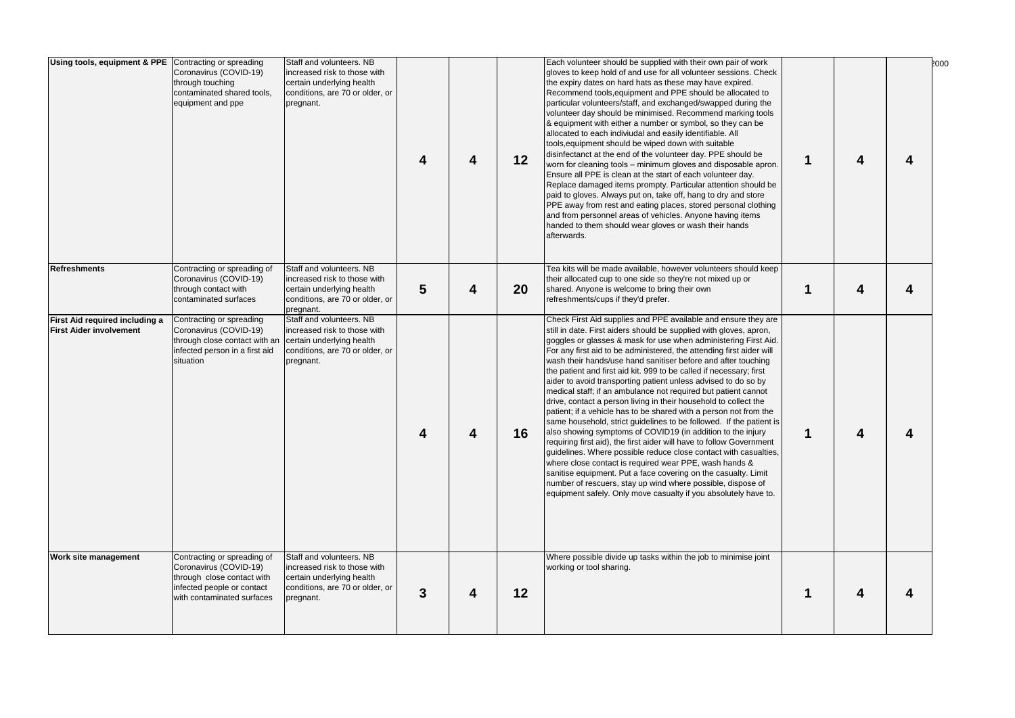| Using tools, equipment & PPE Contracting or spreading            | Coronavirus (COVID-19)<br>through touching<br>contaminated shared tools,<br>equipment and ppe                                                   | Staff and volunteers. NB<br>increased risk to those with<br>certain underlying health<br>conditions, are 70 or older, or<br>pregnant. | 4 | 4 | 12 | Each volunteer should be supplied with their own pair of work<br>gloves to keep hold of and use for all volunteer sessions. Check<br>the expiry dates on hard hats as these may have expired.<br>Recommend tools, equipment and PPE should be allocated to<br>particular volunteers/staff, and exchanged/swapped during the<br>volunteer day should be minimised. Recommend marking tools<br>& equipment with either a number or symbol, so they can be<br>allocated to each indiviudal and easily identifiable. All<br>tools, equipment should be wiped down with suitable<br>disinfectanct at the end of the volunteer day. PPE should be<br>worn for cleaning tools – minimum gloves and disposable apron.<br>Ensure all PPE is clean at the start of each volunteer day.<br>Replace damaged items prompty. Particular attention should be<br>paid to gloves. Always put on, take off, hang to dry and store<br>PPE away from rest and eating places, stored personal clothing<br>and from personnel areas of vehicles. Anyone having items<br>handed to them should wear gloves or wash their hands<br>afterwards.                                                                                                                               | 1           | 4 | 2000<br>4 |
|------------------------------------------------------------------|-------------------------------------------------------------------------------------------------------------------------------------------------|---------------------------------------------------------------------------------------------------------------------------------------|---|---|----|------------------------------------------------------------------------------------------------------------------------------------------------------------------------------------------------------------------------------------------------------------------------------------------------------------------------------------------------------------------------------------------------------------------------------------------------------------------------------------------------------------------------------------------------------------------------------------------------------------------------------------------------------------------------------------------------------------------------------------------------------------------------------------------------------------------------------------------------------------------------------------------------------------------------------------------------------------------------------------------------------------------------------------------------------------------------------------------------------------------------------------------------------------------------------------------------------------------------------------------------------|-------------|---|-----------|
| <b>Refreshments</b>                                              | Contracting or spreading of<br>Coronavirus (COVID-19)<br>through contact with<br>contaminated surfaces                                          | Staff and volunteers. NB<br>increased risk to those with<br>certain underlying health<br>conditions, are 70 or older, or<br>pregnant. | 5 | 4 | 20 | Tea kits will be made available, however volunteers should keep<br>their allocated cup to one side so they're not mixed up or<br>shared. Anyone is welcome to bring their own<br>refreshments/cups if they'd prefer.                                                                                                                                                                                                                                                                                                                                                                                                                                                                                                                                                                                                                                                                                                                                                                                                                                                                                                                                                                                                                                 | $\mathbf 1$ | 4 | 4         |
| First Aid required including a<br><b>First Aider involvement</b> | Contracting or spreading<br>Coronavirus (COVID-19)<br>through close contact with an<br>infected person in a first aid<br>situation              | Staff and volunteers. NB<br>increased risk to those with<br>certain underlying health<br>conditions, are 70 or older, or<br>pregnant. | 4 | 4 | 16 | Check First Aid supplies and PPE available and ensure they are<br>still in date. First aiders should be supplied with gloves, apron,<br>goggles or glasses & mask for use when administering First Aid.<br>For any first aid to be administered, the attending first aider will<br>wash their hands/use hand sanitiser before and after touching<br>the patient and first aid kit. 999 to be called if necessary; first<br>aider to avoid transporting patient unless advised to do so by<br>medical staff; if an ambulance not required but patient cannot<br>drive, contact a person living in their household to collect the<br>patient; if a vehicle has to be shared with a person not from the<br>same household, strict guidelines to be followed. If the patient is<br>also showing symptoms of COVID19 (in addition to the injury<br>requiring first aid), the first aider will have to follow Government<br>quidelines. Where possible reduce close contact with casualties,<br>where close contact is required wear PPE, wash hands &<br>sanitise equipment. Put a face covering on the casualty. Limit<br>number of rescuers, stay up wind where possible, dispose of<br>equipment safely. Only move casualty if you absolutely have to. | $\mathbf 1$ | 4 | 4         |
| Work site management                                             | Contracting or spreading of<br>Coronavirus (COVID-19)<br>through close contact with<br>infected people or contact<br>with contaminated surfaces | Staff and volunteers. NB<br>increased risk to those with<br>certain underlying health<br>conditions, are 70 or older, or<br>pregnant. | 3 | 4 | 12 | Where possible divide up tasks within the job to minimise joint<br>working or tool sharing.                                                                                                                                                                                                                                                                                                                                                                                                                                                                                                                                                                                                                                                                                                                                                                                                                                                                                                                                                                                                                                                                                                                                                          | 1           | 4 | 4         |